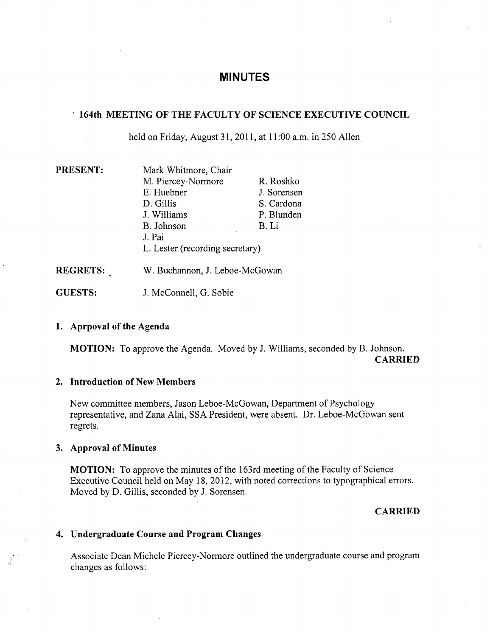# **MINUTES**

## **164th MEETING OF THE FACULTY OF SCIENCE EXECUTIVE COUNCIL**

held on Friday, August 31, 2011, at 11:00a.m. in *250* Allen

| <b>PRESENT:</b> | Mark Whitmore, Chair            |             |
|-----------------|---------------------------------|-------------|
|                 | M. Piercey-Normore              | R. Roshko   |
|                 | E. Huebner                      | J. Sorensen |
|                 | D. Gillis                       | S. Cardona  |
|                 | J. Williams                     | P. Blunden  |
|                 | B. Johnson                      | B. Li       |
|                 | J. Pai                          |             |
|                 | L. Lester (recording secretary) |             |
| <b>REGRETS:</b> | W. Buchannon, J. Leboe-McGowan  |             |

GUESTS: J. McConnell, G. Sobie

## **1. Aprpoval of the Agenda**

**MOTION:** To approve the Agenda. Moved by J. Williams, seconded by B. Johnson. **CARRIED** 

### **Introduction of New Members**

New committee members, Jason Leboe-McGowan, Department of Psychology representative, and Zana Alai, SSA President, were absent. Dr. Leboe-McGowan sent regrets.

### **Approval of Minutes**

**MOTION:** To approve the minutes of the 163rd meeting of the Faculty of Science Executive Council held on May 18, 2012, with noted corrections to typographical errors. Moved by D. Gillis, seconded by J. Sorensen.

### **CARRIED**

### **Undergraduate Course and Program Changes**

Associate Dean Michele Piercey-Normore outlined the undergraduate course and program changes as follows: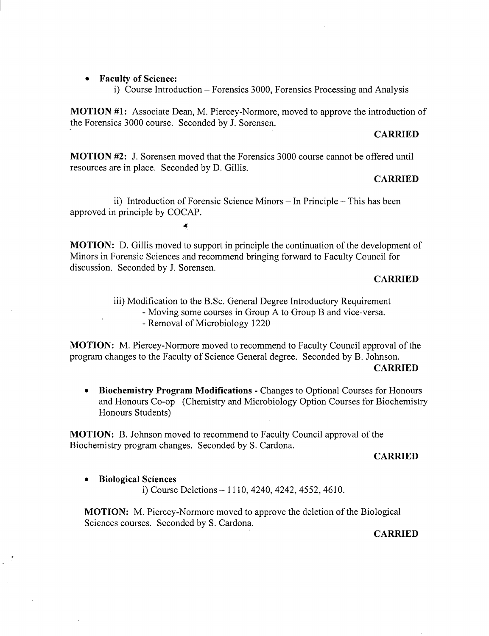**Faculty of Science:** 

i) Course Introduction - Forensics 3000, Forensics Processing and Analysis

**MOTION #1:** Associate Dean, M. Piercey-Normore, moved to approve the introduction of the Forensics 3000 course. Seconded by J. Sorensen.

#### **CARRIED**

**MOTION** #2: J. Sorensen moved that the Forensics 3000 course cannot be offered until resources are in place. Seconded by D. Gillis.

#### **CARRIED**

ii) Introduction of Forensic Science Minors - In Principle - This has been approved in principle by COCAP.

4

**MOTION:** D. Gillis moved to support in principle the continuation of the development of Minors in Forensic Sciences and recommend bringing forward to Faculty Council for discussion. Seconded by J. Sorensen.

### **CARRIED**

iii) Modification to the B.Sc. General Degree Introductory Requirement - Moving some courses in Group A to Group B and vice-versa. - Removal of Microbiology 1220

**MOTION:** M. Piercey-Normore moved to recommend to Faculty Council approval of the program changes to the Faculty of Science General degree. Seconded by B. Johnson. **CARRIED** 

**Biochemistry Program Modifications** - Changes to Optional Courses for Honours and Honours Co-op (Chemistry and Microbiology Option Courses for Biochemistry Honours Students)

**MOTION: B.** Johnson moved to recommend to Faculty Council approval of the Biochemistry program changes. Seconded by S. Cardona.

#### **CARRIED**

**Biological Sciences** 

i) Course Deletions - 1110, 4240, 4242, *4552,* 4610.

**MOTION:** M. Piercey-Normore moved to approve the deletion of the Biological Sciences courses. Seconded by S. Cardona.

#### **CARRIED**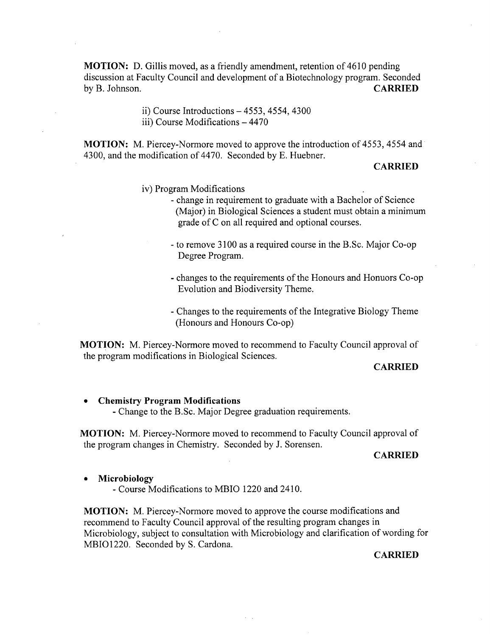**MOTION:** D. Gillis moved, as a friendly amendment, retention of 4610 pending discussion at Faculty Council and development of a Biotechnology program. Seconded by B. Johnson. **CARRIED** 

> Course Introductions - *4553,* 4554, 4300 iii) Course Modifications - 4470

**MOTION:** M. Piercey-Normore moved to approve the introduction of 4553, 4554 and 4300, and the modification of 4470. Seconded by E. Huebner.

#### **CARRIED**

- iv) Program Modifications
	- change in requirement to graduate with a Bachelor of Science (Major) in Biological Sciences a student must obtain a minimum grade of C on all required and optional courses.
	- to remove 3100 as a required course in the B.Sc. Major Co-op Degree Program.
	- changes to the requirements of the Honours and Honuors Co-op Evolution and Biodiversity Theme.
	- Changes to the requirements of the Integrative Biology Theme (Honours and Honours Co-op)

**MOTION:** M. Piercey-Normore moved to recommend to Faculty Council approval of the program modifications in Biological Sciences.

### **CARRIED**

### **Chemistry Program Modifications**

- Change to the B.Sc. Major Degree graduation requirements.

**MOTION:** M. Piercey-Normore moved to recommend to Faculty Council approval of the program changes in Chemistry. Seconded by J. Sorensen.

#### **CARRIED**

#### **Microbiology**

- Course Modifications to MBIO 1220 and 2410.

**MOTION:** M. Piercey-Normore moved to approve the course modifications and recommend to Faculty Council approval of the resulting program changes in Microbiology, subject to consultation with Microbiology and clarification of wording for MBIO1220. Seconded by S. Cardona.

#### **CARRIED**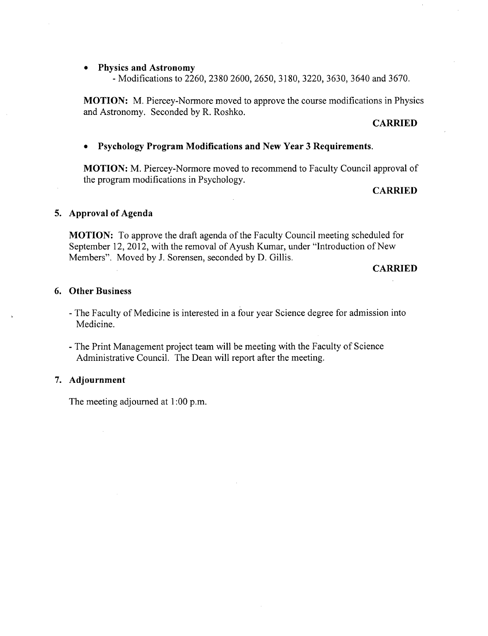#### **Physics and Astronomy**

- Modifications to 2260, 2380 2600, 2650, 3180, 3220, 3630, 3640 and 3670.

**MOTION:** M. Piercey-Normore moved to approve the course modifications in Physics and Astronomy. Seconded by R. Roshko.

#### **CARRIED**

## **Psychology Program Modifications and New Year 3 Requirements.**

**MOTION:** M. Piercey-Normore moved to recommend to Faculty Council approval of the program modifications in Psychology.

### **CARRIED**

### **Approval of Agenda**

**MOTION:** To approve the draft agenda of the Faculty Council meeting scheduled for September 12, 2012, with the removal of Ayush Kumar, under "Introduction of New Members". Moved by J. Sorensen, seconded by D. Gillis.

**CARRIED** 

## **Other Business**

- The Faculty of Medicine is interested in a four year Science degree for admission into Medicine.
- The Print Management project team will be meeting with the Faculty of Science Administrative Council. The Dean will report after the meeting.

#### **Adjournment**

The meeting adjourned at 1:00 p.m.